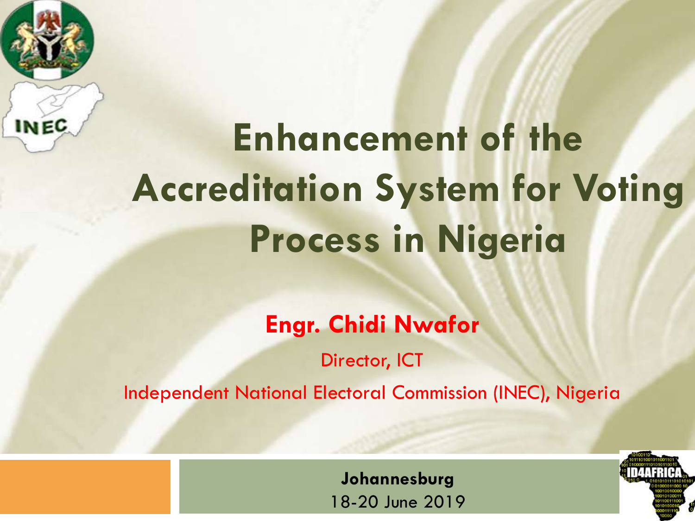

# **Enhancement of the Accreditation System for Voting Process in Nigeria**

**Engr. Chidi Nwafor**

Director, ICT

Independent National Electoral Commission (INEC), Nigeria

**Johannesburg** 18-20 June 2019

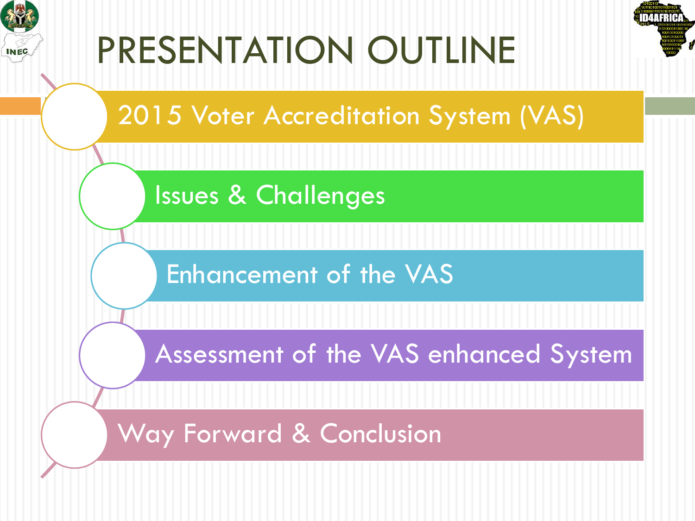



Issues & Challenges

Enhancement of the VAS

Assessment of the VAS enhanced System

Way Forward & Conclusion

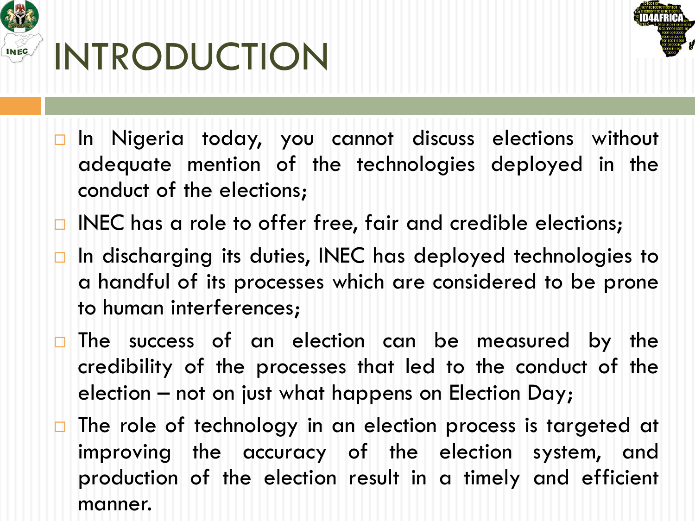

### INTRODUCTION



- $\square$  In Nigeria today, you cannot discuss elections without adequate mention of the technologies deployed in the conduct of the elections;
- $\Box$  INEC has a role to offer free, fair and credible elections;
- $\Box$  In discharging its duties, INEC has deployed technologies to a handful of its processes which are considered to be prone to human interferences;
- $\Box$  The success of an election can be measured by the credibility of the processes that led to the conduct of the election – not on just what happens on Election Day;
- $\Box$  The role of technology in an election process is targeted at improving the accuracy of the election system, and production of the election result in a timely and efficient manner.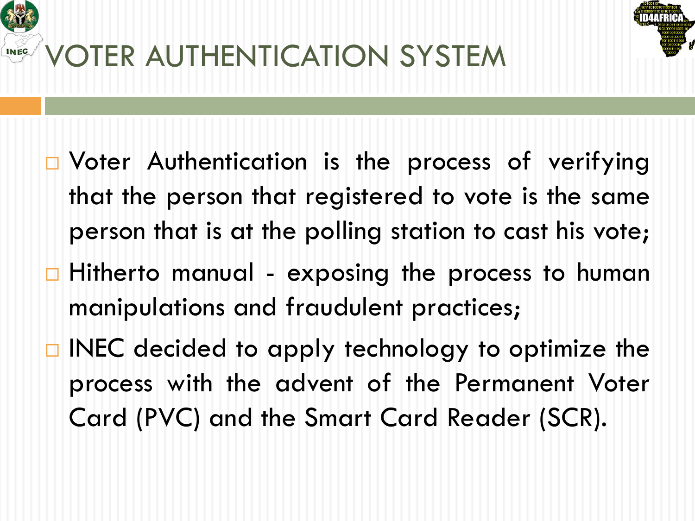

- $\Box$  Voter Authentication is the process of verifying that the person that registered to vote is the same person that is at the polling station to cast his vote;
- $\Box$  Hitherto manual exposing the process to human manipulations and fraudulent practices;
- $\Box$  INEC decided to apply technology to optimize the process with the advent of the Permanent Voter Card (PVC) and the Smart Card Reader (SCR).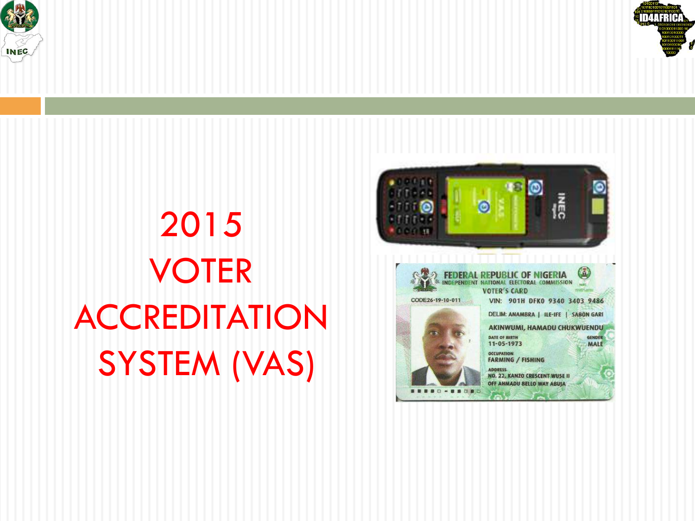



## 2015 VOTER **ACCREDITATION** SYSTEM (VAS)

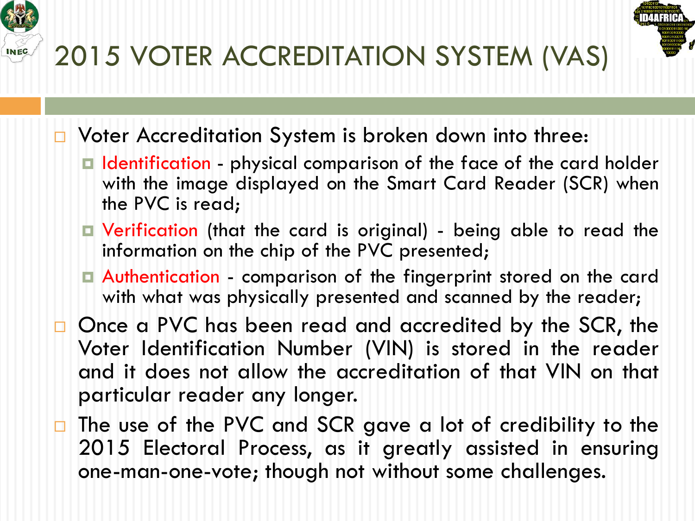



- □ Voter Accreditation System is broken down into three:
	- □ Identification physical comparison of the face of the card holder with the image displayed on the Smart Card Reader (SCR) when the PVC is read;
	- ¤ Verification (that the card is original) being able to read the information on the chip of the PVC presented;
	- ¤ Authentication comparison of the fingerprint stored on the card with what was physically presented and scanned by the reader;
- □ Once a PVC has been read and accredited by the SCR, the Voter Identification Number (VIN) is stored in the reader and it does not allow the accreditation of that VIN on that particular reader any longer.
- $\Box$  The use of the PVC and SCR gave a lot of credibility to the 2015 Electoral Process, as it greatly assisted in ensuring one-man-one-vote; though not without some challenges.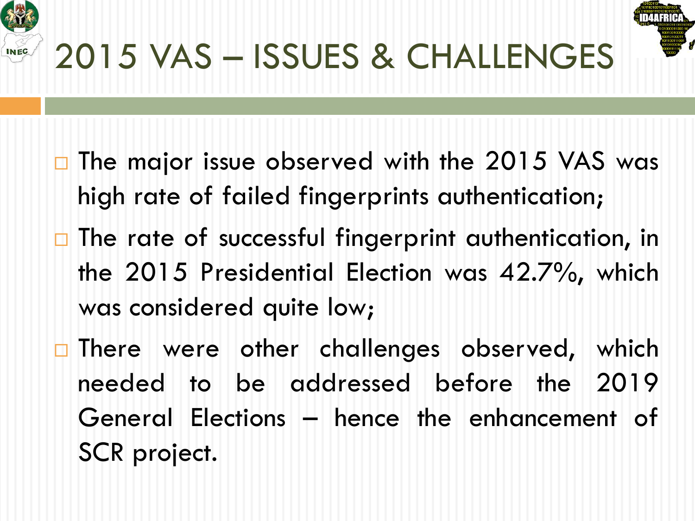



## 2015 VAS – ISSUES & CHALLENGES

- $\square$  The major issue observed with the 2015 VAS was high rate of failed fingerprints authentication;
- $\Box$  The rate of successful fingerprint authentication, in the 2015 Presidential Election was 42.7%, which was considered quite low;
- □ There were other challenges observed, which needed to be addressed before the 2019 General Elections – hence the enhancement of SCR project.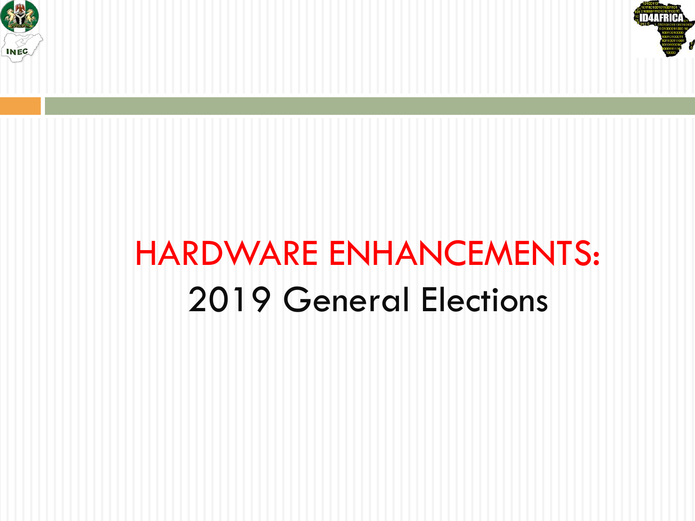



#### HARDWARE ENHANCEMENTS: 2019 General Elections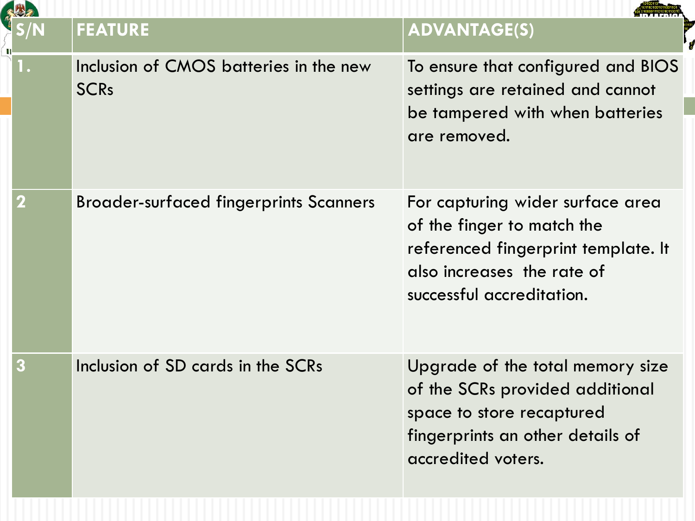|   | <b>FEATURE</b>                                        | <b>ADVANTAGE(S)</b>                                                                                                                                              |  |
|---|-------------------------------------------------------|------------------------------------------------------------------------------------------------------------------------------------------------------------------|--|
|   | Inclusion of CMOS batteries in the new<br><b>SCRs</b> | To ensure that configured and BIOS<br>settings are retained and cannot<br>be tampered with when batteries<br>are removed.                                        |  |
| 2 | <b>Broader-surfaced fingerprints Scanners</b>         | For capturing wider surface area<br>of the finger to match the<br>referenced fingerprint template. It<br>also increases the rate of<br>successful accreditation. |  |
|   | Inclusion of SD cards in the SCRs                     | Upgrade of the total memory size<br>of the SCRs provided additional<br>space to store recaptured<br>fingerprints an other details of<br>accredited voters.       |  |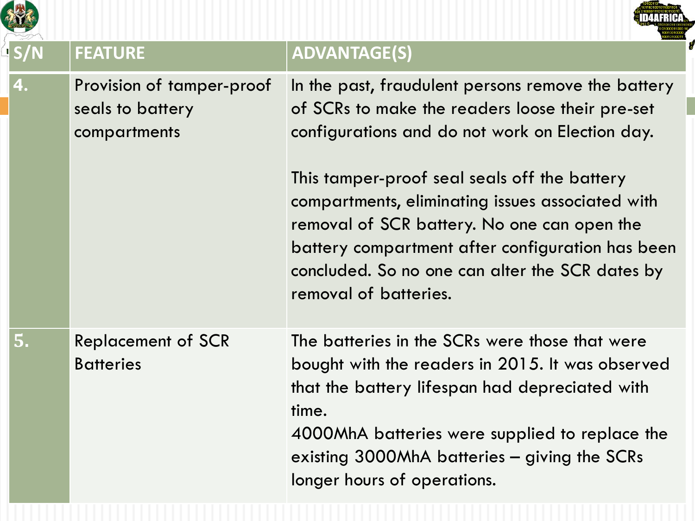|    | <b>FEATURE</b>                                                | <b>ADVANTAGE(S)</b>                                                                                                                                                                                                                                                                            |  |
|----|---------------------------------------------------------------|------------------------------------------------------------------------------------------------------------------------------------------------------------------------------------------------------------------------------------------------------------------------------------------------|--|
| 4. | Provision of tamper-proof<br>seals to battery<br>compartments | In the past, fraudulent persons remove the battery<br>of SCRs to make the readers loose their pre-set<br>configurations and do not work on Election day.<br>This tamper-proof seal seals off the battery<br>compartments, eliminating issues associated with                                   |  |
|    |                                                               | removal of SCR battery. No one can open the<br>battery compartment after configuration has been<br>concluded. So no one can alter the SCR dates by<br>removal of batteries.                                                                                                                    |  |
| 5. | <b>Replacement of SCR</b><br><b>Batteries</b>                 | The batteries in the SCRs were those that were<br>bought with the readers in 2015. It was observed<br>that the battery lifespan had depreciated with<br>time.<br>4000MhA batteries were supplied to replace the<br>existing 3000MhA batteries – giving the SCRs<br>longer hours of operations. |  |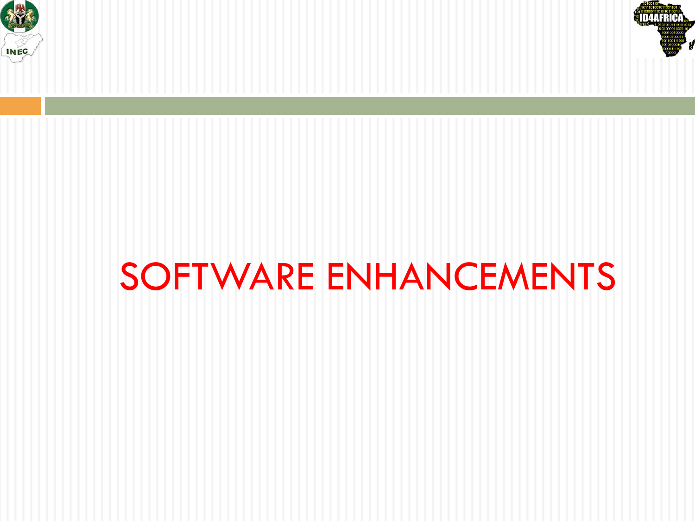



## SOFTWARE ENHANCEMENTS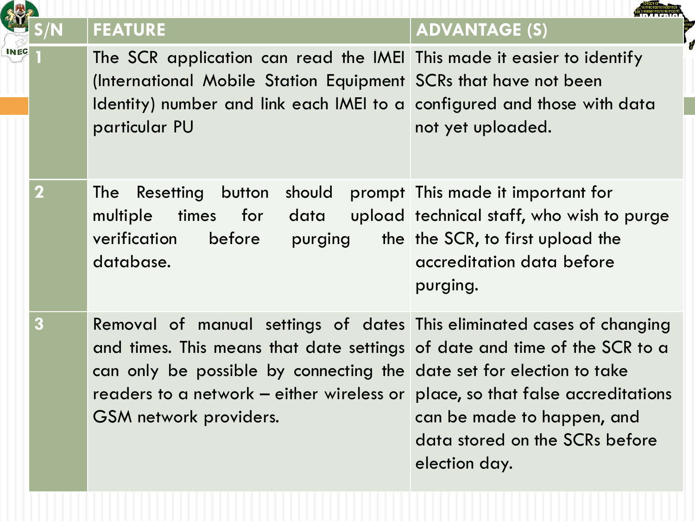|  |                         | <b>FEATURE</b>                                                                                                                                                                                                                                                                                                                        | <b>ADVANTAGE (S)</b>                                                                                                                                        |
|--|-------------------------|---------------------------------------------------------------------------------------------------------------------------------------------------------------------------------------------------------------------------------------------------------------------------------------------------------------------------------------|-------------------------------------------------------------------------------------------------------------------------------------------------------------|
|  |                         | The SCR application can read the IMEI This made it easier to identify<br>(International Mobile Station Equipment SCRs that have not been<br>Identity) number and link each IMEI to a configured and those with data<br>particular PU                                                                                                  | not yet uploaded.                                                                                                                                           |
|  | $\mathbf 2$             | button should<br><b>The</b><br>Resetting<br>for data<br>multiple<br>times<br>before purging<br>verification<br>database.                                                                                                                                                                                                              | prompt This made it important for<br>upload technical staff, who wish to purge<br>the the SCR, to first upload the<br>accreditation data before<br>purging. |
|  | $\overline{\mathbf{3}}$ | Removal of manual settings of dates This eliminated cases of changing<br>and times. This means that date settings of date and time of the SCR to a<br>can only be possible by connecting the date set for election to take<br>readers to a network – either wireless or place, so that false accreditations<br>GSM network providers. | can be made to happen, and<br>data stored on the SCRs before<br>election day.                                                                               |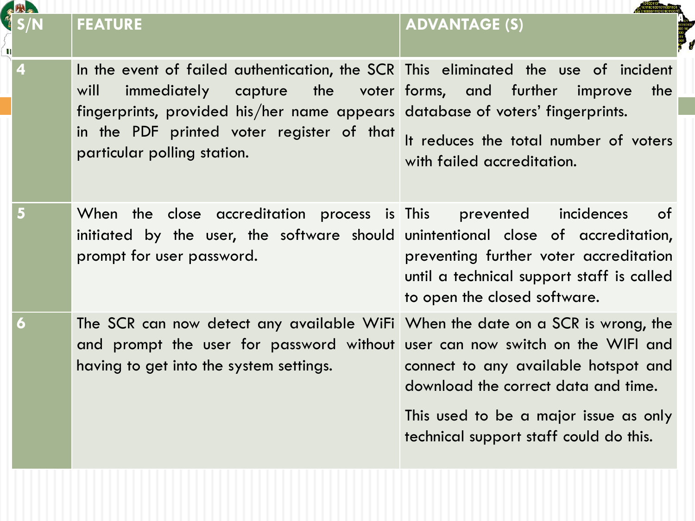|   | 2 H 2 |                                                                                                                                                                                                                                                                                                                |                                                                                                                                                                |  |
|---|-------|----------------------------------------------------------------------------------------------------------------------------------------------------------------------------------------------------------------------------------------------------------------------------------------------------------------|----------------------------------------------------------------------------------------------------------------------------------------------------------------|--|
| п |       | <b>FEATURE</b>                                                                                                                                                                                                                                                                                                 | <b>ADVANTAGE (S)</b>                                                                                                                                           |  |
|   | 4     | In the event of failed authentication, the SCR This eliminated the use of incident<br>immediately<br>capture the voter forms, and further<br>will<br>fingerprints, provided his/her name appears database of voters' fingerprints.<br>in the PDF printed voter register of that<br>particular polling station. | the<br>improve<br>It reduces the total number of voters<br>with failed accreditation.                                                                          |  |
|   | 5     | When the close accreditation process is This<br>initiated by the user, the software should unintentional close of accreditation,<br>prompt for user password.                                                                                                                                                  | incidences<br>of<br>prevented<br>preventing further voter accreditation<br>until a technical support staff is called<br>to open the closed software.           |  |
|   | 6     | The SCR can now detect any available WiFi When the date on a SCR is wrong, the<br>and prompt the user for password without user can now switch on the WIFI and<br>having to get into the system settings.                                                                                                      | connect to any available hotspot and<br>download the correct data and time.<br>This used to be a major issue as only<br>technical support staff could do this. |  |
|   |       |                                                                                                                                                                                                                                                                                                                |                                                                                                                                                                |  |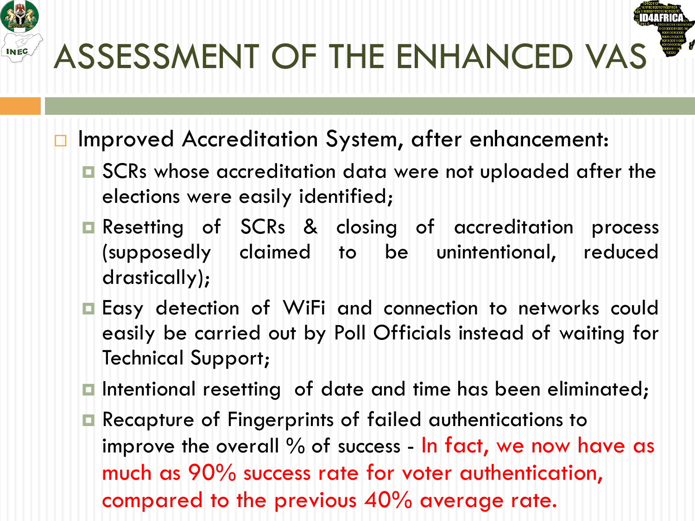

- □ Improved Accreditation System, after enhancement:
	- **□** SCRs whose accreditation data were not uploaded after the elections were easily identified;
	- **□** Resetting of SCRs & closing of accreditation process (supposedly claimed to be unintentional, reduced drastically);
	- **□** Easy detection of WiFi and connection to networks could easily be carried out by Poll Officials instead of waiting for Technical Support;
	- **□** Intentional resetting of date and time has been eliminated;
	- **□** Recapture of Fingerprints of failed authentications to improve the overall  $\%$  of success - In fact, we now have as much as 90% success rate for voter authentication, compared to the previous 40% average rate.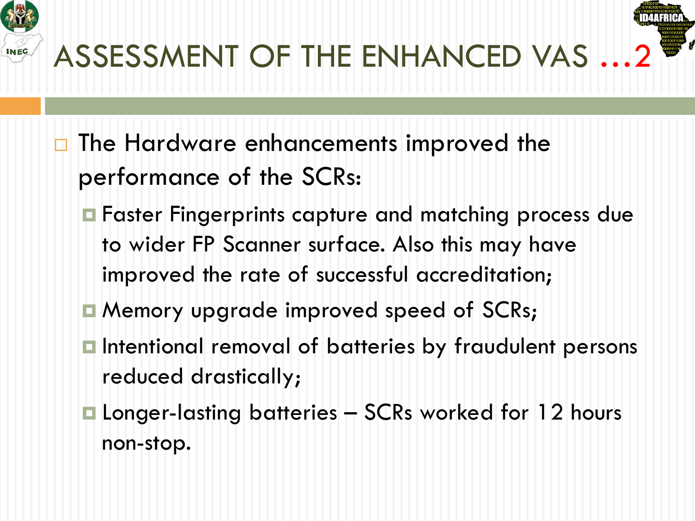

- $\Box$  The Hardware enhancements improved the performance of the SCRs:
	- **□** Faster Fingerprints capture and matching process due to wider FP Scanner surface. Also this may have improved the rate of successful accreditation;
	- **□ Memory upgrade improved speed of SCRs;**
	- **□** Intentional removal of batteries by fraudulent persons reduced drastically;
	- Longer-lasting batteries SCRs worked for 12 hours non-stop.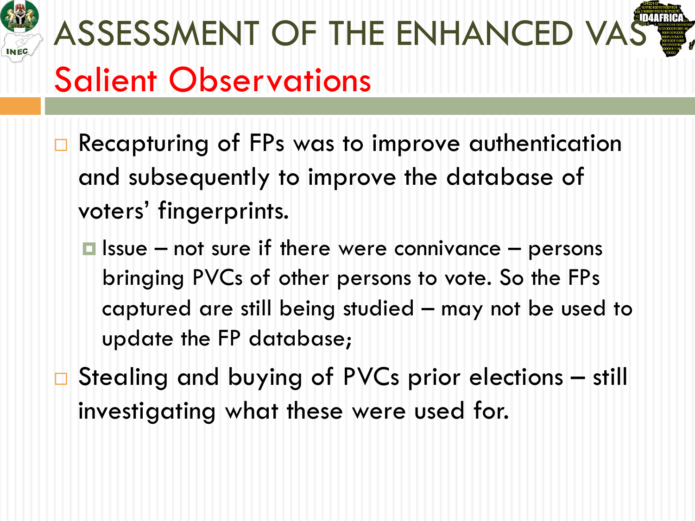

# ASSESSMENT OF THE ENHANCED VA Salient Observations

- $\Box$  Recapturing of FPs was to improve authentication and subsequently to improve the database of voters' fingerprints.
	- $\blacksquare$  Issue not sure if there were connivance persons bringing PVCs of other persons to vote. So the FPs captured are still being studied – may not be used to update the FP database;
- $\Box$  Stealing and buying of PVCs prior elections still investigating what these were used for.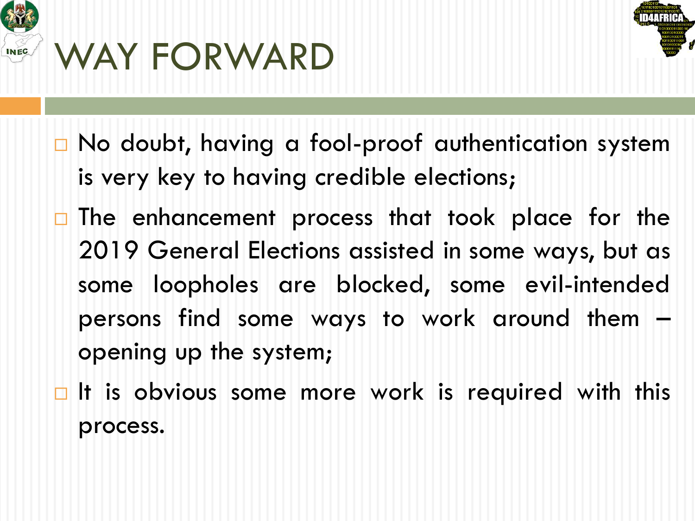



- $\Box$  No doubt, having a fool-proof authentication system is very key to having credible elections;
- $\Box$  The enhancement process that took place for the 2019 General Elections assisted in some ways, but as some loopholes are blocked, some evil-intended persons find some ways to work around them – opening up the system;
- $\Box$  It is obvious some more work is required with this process.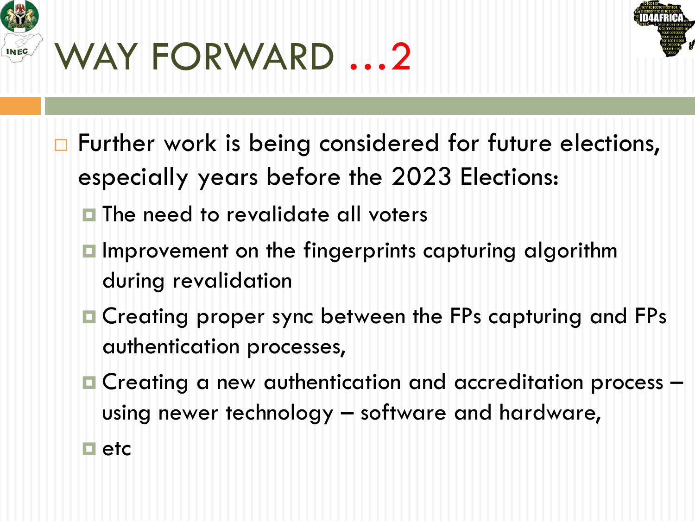

## WAY FORWARD …2



- $\Box$  Further work is being considered for future elections, especially years before the 2023 Elections:
	- $\blacksquare$  The need to revalidate all voters
	- Improvement on the fingerprints capturing algorithm during revalidation
	- **□ Creating proper sync between the FPs capturing and FPs** authentication processes,
	- Creating a new authentication and accreditation process using newer technology – software and hardware,
	- $\blacksquare$  etc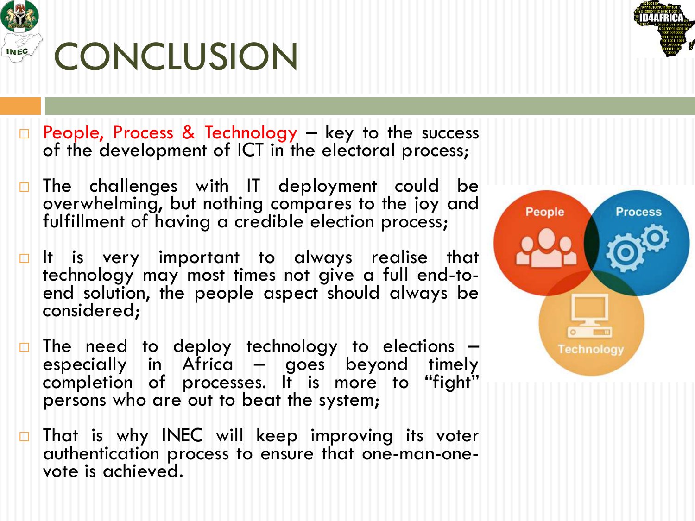

#### **CONCLUSION**



- □ People, Process & Technology key to the success of the development of ICT in the electoral process;
- $\Box$  The challenges with IT deployment could be overwhelming, but nothing compares to the joy and fulfillment of having a credible election process;
- $\Box$  It is very important to always realise that technology may most times not give a full end-to-<br>end solution, the people aspect should always be end solution, the people aspect should always be considered;
- The need to deploy technology to elections –<br>especially in Africa goes beyond timely completion of processes. It is more to "fight" persons who are out to beat the system;
- $\Box$  That is why INEC will keep improving its voter authentication process to ensure that one-man-one- vote is achieved.